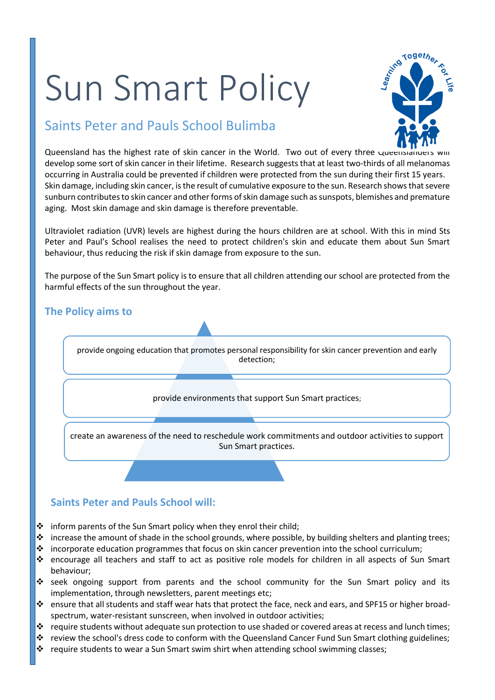# Sun Smart Policy



## Saints Peter and Pauls School Bulimba

Queensland has the highest rate of skin cancer in the World. Two out of every three queensiand develop some sort of skin cancer in their lifetime. Research suggests that at least two-thirds of all melanomas occurring in Australia could be prevented if children were protected from the sun during their first 15 years. Skin damage, including skin cancer, is the result of cumulative exposure to the sun. Research shows that severe sunburn contributes to skin cancer and other forms of skin damage such as sunspots, blemishes and premature aging. Most skin damage and skin damage is therefore preventable.

Ultraviolet radiation (UVR) levels are highest during the hours children are at school. With this in mind Sts Peter and Paul's School realises the need to protect children's skin and educate them about Sun Smart behaviour, thus reducing the risk if skin damage from exposure to the sun.

The purpose of the Sun Smart policy is to ensure that all children attending our school are protected from the harmful effects of the sun throughout the year.

## **The Policy aims to**  provide ongoing education that promotes personal responsibility for skin cancer prevention and early detection; provide environments that support Sun Smart practices; create an awareness of the need to reschedule work commitments and outdoor activities to support Sun Smart practices.

 $\cdot$  inform parents of the Sun Smart policy when they enrol their child;

**Saints Peter and Pauls School will:**

- $\cdot \cdot$  increase the amount of shade in the school grounds, where possible, by building shelters and planting trees;
- $\cdot \cdot$  incorporate education programmes that focus on skin cancer prevention into the school curriculum;
- encourage all teachers and staff to act as positive role models for children in all aspects of Sun Smart behaviour;
- seek ongoing support from parents and the school community for the Sun Smart policy and its implementation, through newsletters, parent meetings etc;
- ensure that all students and staff wear hats that protect the face, neck and ears, and SPF15 or higher broadspectrum, water-resistant sunscreen, when involved in outdoor activities;
- $\cdot \cdot$  require students without adequate sun protection to use shaded or covered areas at recess and lunch times;
- review the school's dress code to conform with the Queensland Cancer Fund Sun Smart clothing guidelines;
- ❖ require students to wear a Sun Smart swim shirt when attending school swimming classes;